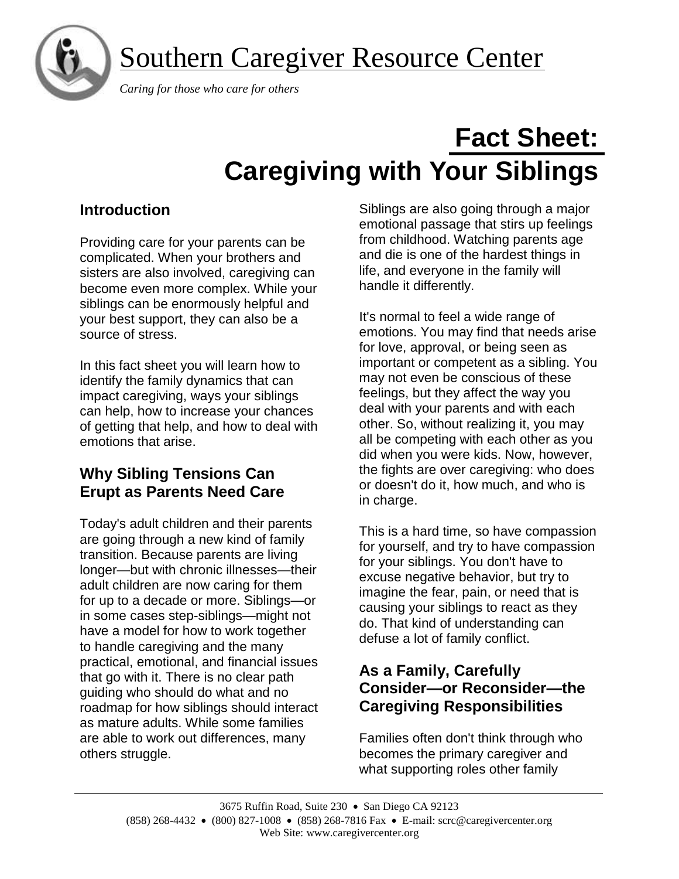

## Southern Caregiver Resource Center

 *Caring for those who care for others*

# **Fact Sheet: Caregiving with Your Siblings**

## **Introduction**

Providing care for your parents can be complicated. When your brothers and sisters are also involved, caregiving can become even more complex. While your siblings can be enormously helpful and your best support, they can also be a source of stress.

In this fact sheet you will learn how to identify the family dynamics that can impact caregiving, ways your siblings can help, how to increase your chances of getting that help, and how to deal with emotions that arise.

#### **Why Sibling Tensions Can Erupt as Parents Need Care**

Today's adult children and their parents are going through a new kind of family transition. Because parents are living longer—but with chronic illnesses—their adult children are now caring for them for up to a decade or more. Siblings—or in some cases step-siblings—might not have a model for how to work together to handle caregiving and the many practical, emotional, and financial issues that go with it. There is no clear path guiding who should do what and no roadmap for how siblings should interact as mature adults. While some families are able to work out differences, many others struggle.

Siblings are also going through a major emotional passage that stirs up feelings from childhood. Watching parents age and die is one of the hardest things in life, and everyone in the family will handle it differently.

It's normal to feel a wide range of emotions. You may find that needs arise for love, approval, or being seen as important or competent as a sibling. You may not even be conscious of these feelings, but they affect the way you deal with your parents and with each other. So, without realizing it, you may all be competing with each other as you did when you were kids. Now, however, the fights are over caregiving: who does or doesn't do it, how much, and who is in charge.

This is a hard time, so have compassion for yourself, and try to have compassion for your siblings. You don't have to excuse negative behavior, but try to imagine the fear, pain, or need that is causing your siblings to react as they do. That kind of understanding can defuse a lot of family conflict.

#### **As a Family, Carefully Consider—or Reconsider—the Caregiving Responsibilities**

Families often don't think through who becomes the primary caregiver and what supporting roles other family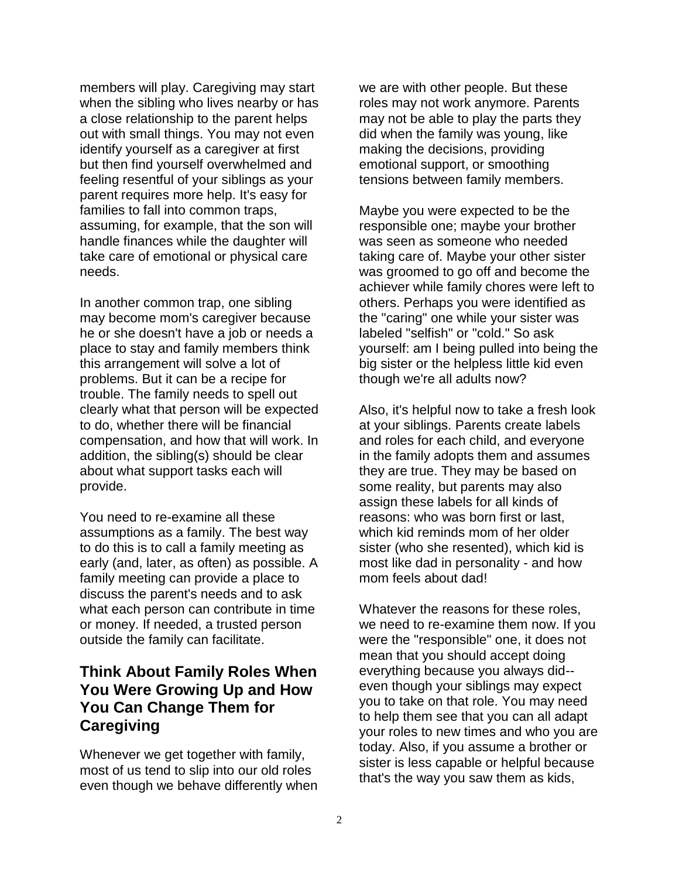members will play. Caregiving may start when the sibling who lives nearby or has a close relationship to the parent helps out with small things. You may not even identify yourself as a caregiver at first but then find yourself overwhelmed and feeling resentful of your siblings as your parent requires more help. It's easy for families to fall into common traps, assuming, for example, that the son will handle finances while the daughter will take care of emotional or physical care needs.

In another common trap, one sibling may become mom's caregiver because he or she doesn't have a job or needs a place to stay and family members think this arrangement will solve a lot of problems. But it can be a recipe for trouble. The family needs to spell out clearly what that person will be expected to do, whether there will be financial compensation, and how that will work. In addition, the sibling(s) should be clear about what support tasks each will provide.

You need to re-examine all these assumptions as a family. The best way to do this is to call a family meeting as early (and, later, as often) as possible. A family meeting can provide a place to discuss the parent's needs and to ask what each person can contribute in time or money. If needed, a trusted person outside the family can facilitate.

#### **Think About Family Roles When You Were Growing Up and How You Can Change Them for Caregiving**

Whenever we get together with family, most of us tend to slip into our old roles even though we behave differently when we are with other people. But these roles may not work anymore. Parents may not be able to play the parts they did when the family was young, like making the decisions, providing emotional support, or smoothing tensions between family members.

Maybe you were expected to be the responsible one; maybe your brother was seen as someone who needed taking care of. Maybe your other sister was groomed to go off and become the achiever while family chores were left to others. Perhaps you were identified as the "caring" one while your sister was labeled "selfish" or "cold." So ask yourself: am I being pulled into being the big sister or the helpless little kid even though we're all adults now?

Also, it's helpful now to take a fresh look at your siblings. Parents create labels and roles for each child, and everyone in the family adopts them and assumes they are true. They may be based on some reality, but parents may also assign these labels for all kinds of reasons: who was born first or last, which kid reminds mom of her older sister (who she resented), which kid is most like dad in personality - and how mom feels about dad!

Whatever the reasons for these roles, we need to re-examine them now. If you were the "responsible" one, it does not mean that you should accept doing everything because you always did- even though your siblings may expect you to take on that role. You may need to help them see that you can all adapt your roles to new times and who you are today. Also, if you assume a brother or sister is less capable or helpful because that's the way you saw them as kids,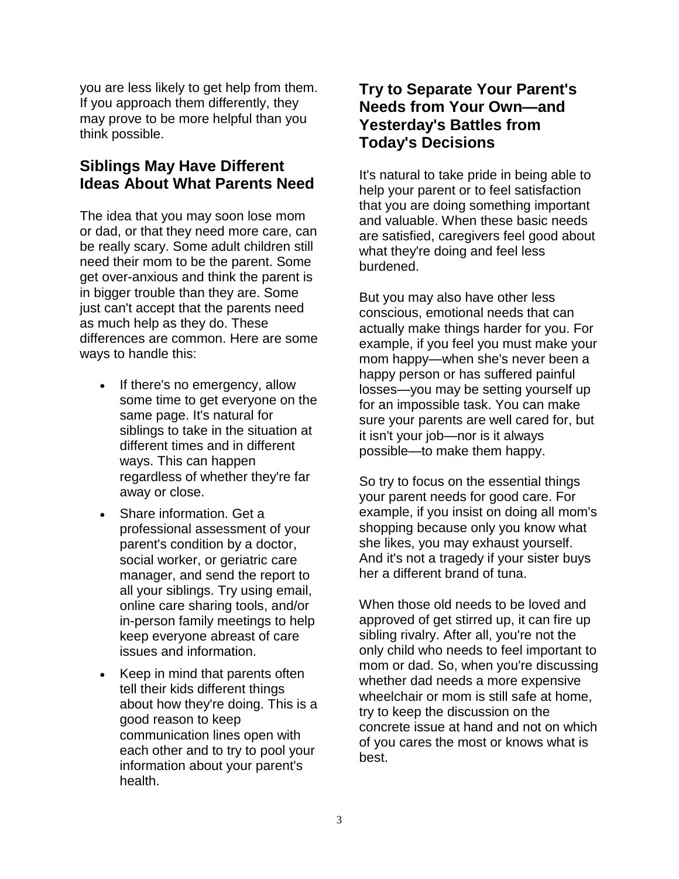you are less likely to get help from them. If you approach them differently, they may prove to be more helpful than you think possible.

#### **Siblings May Have Different Ideas About What Parents Need**

The idea that you may soon lose mom or dad, or that they need more care, can be really scary. Some adult children still need their mom to be the parent. Some get over-anxious and think the parent is in bigger trouble than they are. Some just can't accept that the parents need as much help as they do. These differences are common. Here are some ways to handle this:

- If there's no emergency, allow some time to get everyone on the same page. It's natural for siblings to take in the situation at different times and in different ways. This can happen regardless of whether they're far away or close.
- Share information. Get a professional assessment of your parent's condition by a doctor, social worker, or geriatric care manager, and send the report to all your siblings. Try using email, online care sharing tools, and/or in-person family meetings to help keep everyone abreast of care issues and information.
- Keep in mind that parents often tell their kids different things about how they're doing. This is a good reason to keep communication lines open with each other and to try to pool your information about your parent's health.

#### **Try to Separate Your Parent's Needs from Your Own—and Yesterday's Battles from Today's Decisions**

It's natural to take pride in being able to help your parent or to feel satisfaction that you are doing something important and valuable. When these basic needs are satisfied, caregivers feel good about what they're doing and feel less burdened.

But you may also have other less conscious, emotional needs that can actually make things harder for you. For example, if you feel you must make your mom happy—when she's never been a happy person or has suffered painful losses—you may be setting yourself up for an impossible task. You can make sure your parents are well cared for, but it isn't your job—nor is it always possible—to make them happy.

So try to focus on the essential things your parent needs for good care. For example, if you insist on doing all mom's shopping because only you know what she likes, you may exhaust yourself. And it's not a tragedy if your sister buys her a different brand of tuna.

When those old needs to be loved and approved of get stirred up, it can fire up sibling rivalry. After all, you're not the only child who needs to feel important to mom or dad. So, when you're discussing whether dad needs a more expensive wheelchair or mom is still safe at home, try to keep the discussion on the concrete issue at hand and not on which of you cares the most or knows what is best.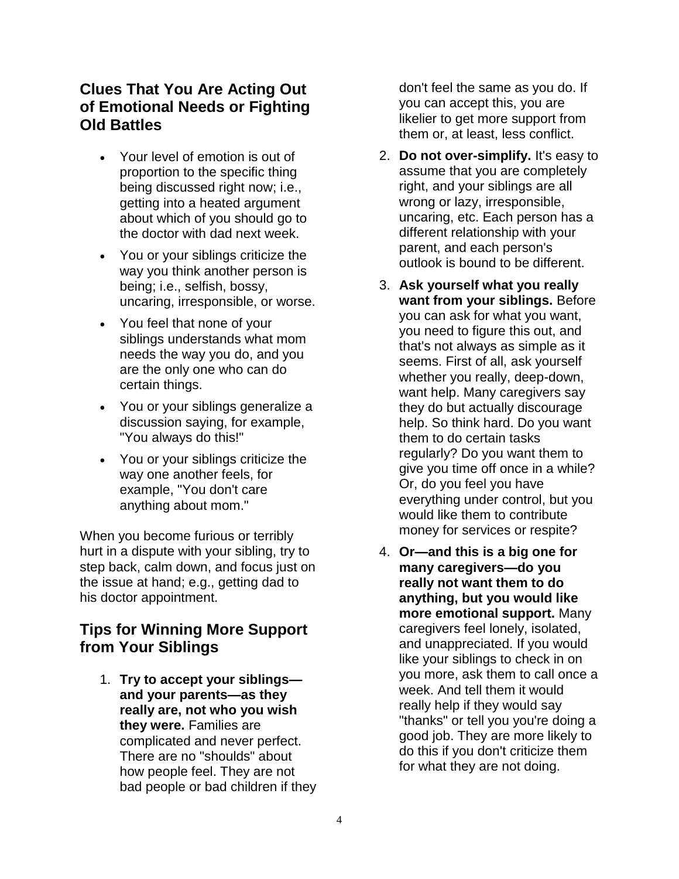#### **Clues That You Are Acting Out of Emotional Needs or Fighting Old Battles**

- Your level of emotion is out of proportion to the specific thing being discussed right now; i.e., getting into a heated argument about which of you should go to the doctor with dad next week.
- You or your siblings criticize the way you think another person is being; i.e., selfish, bossy, uncaring, irresponsible, or worse.
- You feel that none of your siblings understands what mom needs the way you do, and you are the only one who can do certain things.
- You or your siblings generalize a discussion saying, for example, "You always do this!"
- You or your siblings criticize the way one another feels, for example, "You don't care anything about mom."

When you become furious or terribly hurt in a dispute with your sibling, try to step back, calm down, and focus just on the issue at hand; e.g., getting dad to his doctor appointment.

#### **Tips for Winning More Support from Your Siblings**

1. **Try to accept your siblings and your parents—as they really are, not who you wish they were.** Families are complicated and never perfect. There are no "shoulds" about how people feel. They are not bad people or bad children if they don't feel the same as you do. If you can accept this, you are likelier to get more support from them or, at least, less conflict.

- 2. **Do not over-simplify.** It's easy to assume that you are completely right, and your siblings are all wrong or lazy, irresponsible, uncaring, etc. Each person has a different relationship with your parent, and each person's outlook is bound to be different.
- 3. **Ask yourself what you really want from your siblings.** Before you can ask for what you want, you need to figure this out, and that's not always as simple as it seems. First of all, ask yourself whether you really, deep-down, want help. Many caregivers say they do but actually discourage help. So think hard. Do you want them to do certain tasks regularly? Do you want them to give you time off once in a while? Or, do you feel you have everything under control, but you would like them to contribute money for services or respite?
- 4. **Or—and this is a big one for many caregivers—do you really not want them to do anything, but you would like more emotional support.** Many caregivers feel lonely, isolated, and unappreciated. If you would like your siblings to check in on you more, ask them to call once a week. And tell them it would really help if they would say "thanks" or tell you you're doing a good job. They are more likely to do this if you don't criticize them for what they are not doing.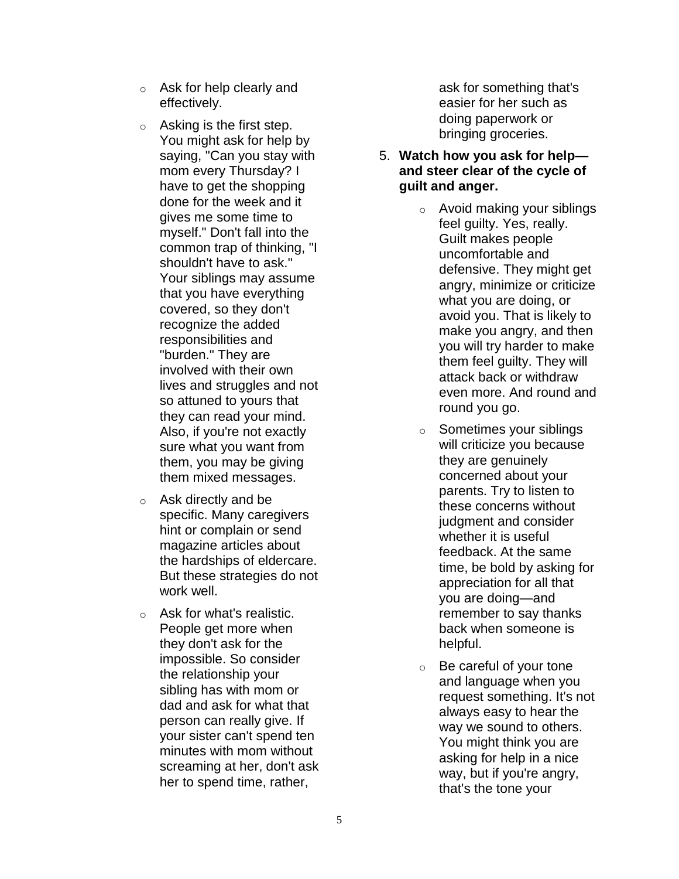- o Ask for help clearly and effectively.
- $\circ$  Asking is the first step. You might ask for help by saying, "Can you stay with mom every Thursday? I have to get the shopping done for the week and it gives me some time to myself." Don't fall into the common trap of thinking, "I shouldn't have to ask." Your siblings may assume that you have everything covered, so they don't recognize the added responsibilities and "burden." They are involved with their own lives and struggles and not so attuned to yours that they can read your mind. Also, if you're not exactly sure what you want from them, you may be giving them mixed messages.
- $\circ$  Ask directly and be specific. Many caregivers hint or complain or send magazine articles about the hardships of eldercare. But these strategies do not work well.
- o Ask for what's realistic. People get more when they don't ask for the impossible. So consider the relationship your sibling has with mom or dad and ask for what that person can really give. If your sister can't spend ten minutes with mom without screaming at her, don't ask her to spend time, rather,

ask for something that's easier for her such as doing paperwork or bringing groceries.

- 5. **Watch how you ask for help and steer clear of the cycle of guilt and anger.**
	- o Avoid making your siblings feel guilty. Yes, really. Guilt makes people uncomfortable and defensive. They might get angry, minimize or criticize what you are doing, or avoid you. That is likely to make you angry, and then you will try harder to make them feel guilty. They will attack back or withdraw even more. And round and round you go.
	- o Sometimes your siblings will criticize you because they are genuinely concerned about your parents. Try to listen to these concerns without judgment and consider whether it is useful feedback. At the same time, be bold by asking for appreciation for all that you are doing—and remember to say thanks back when someone is helpful.
	- $\circ$  Be careful of your tone and language when you request something. It's not always easy to hear the way we sound to others. You might think you are asking for help in a nice way, but if you're angry, that's the tone your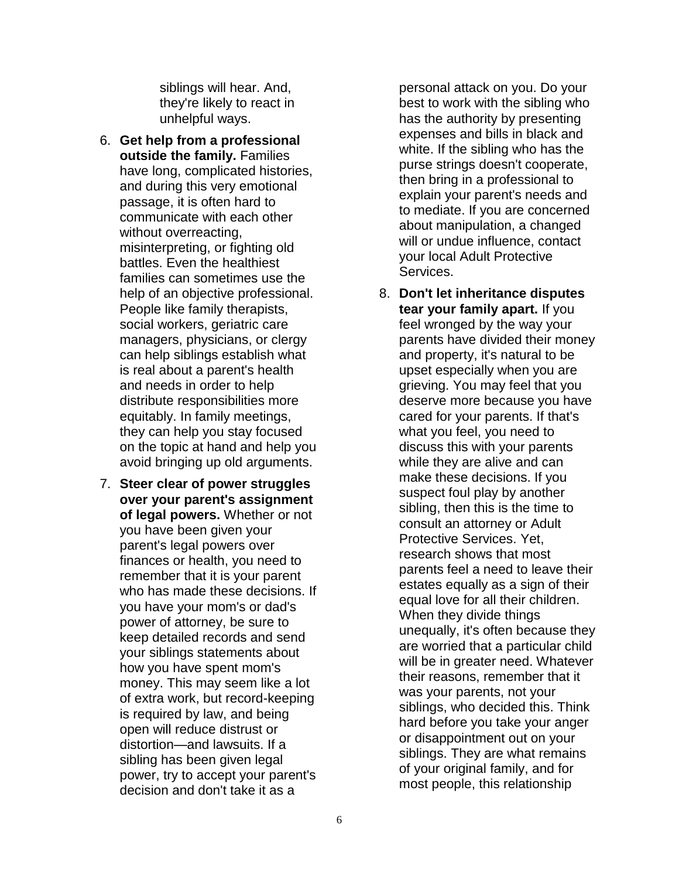siblings will hear. And, they're likely to react in unhelpful ways.

- 6. **Get help from a professional outside the family.** Families have long, complicated histories, and during this very emotional passage, it is often hard to communicate with each other without overreacting, misinterpreting, or fighting old battles. Even the healthiest families can sometimes use the help of an objective professional. People like family therapists, social workers, geriatric care managers, physicians, or clergy can help siblings establish what is real about a parent's health and needs in order to help distribute responsibilities more equitably. In family meetings, they can help you stay focused on the topic at hand and help you avoid bringing up old arguments.
- 7. **Steer clear of power struggles over your parent's assignment of legal powers.** Whether or not you have been given your parent's legal powers over finances or health, you need to remember that it is your parent who has made these decisions. If you have your mom's or dad's power of attorney, be sure to keep detailed records and send your siblings statements about how you have spent mom's money. This may seem like a lot of extra work, but record-keeping is required by law, and being open will reduce distrust or distortion—and lawsuits. If a sibling has been given legal power, try to accept your parent's decision and don't take it as a

personal attack on you. Do your best to work with the sibling who has the authority by presenting expenses and bills in black and white. If the sibling who has the purse strings doesn't cooperate, then bring in a professional to explain your parent's needs and to mediate. If you are concerned about manipulation, a changed will or undue influence, contact your local Adult Protective Services.

8. **Don't let inheritance disputes tear your family apart.** If you feel wronged by the way your parents have divided their money and property, it's natural to be upset especially when you are grieving. You may feel that you deserve more because you have cared for your parents. If that's what you feel, you need to discuss this with your parents while they are alive and can make these decisions. If you suspect foul play by another sibling, then this is the time to consult an attorney or Adult Protective Services. Yet, research shows that most parents feel a need to leave their estates equally as a sign of their equal love for all their children. When they divide things unequally, it's often because they are worried that a particular child will be in greater need. Whatever their reasons, remember that it was your parents, not your siblings, who decided this. Think hard before you take your anger or disappointment out on your siblings. They are what remains of your original family, and for most people, this relationship